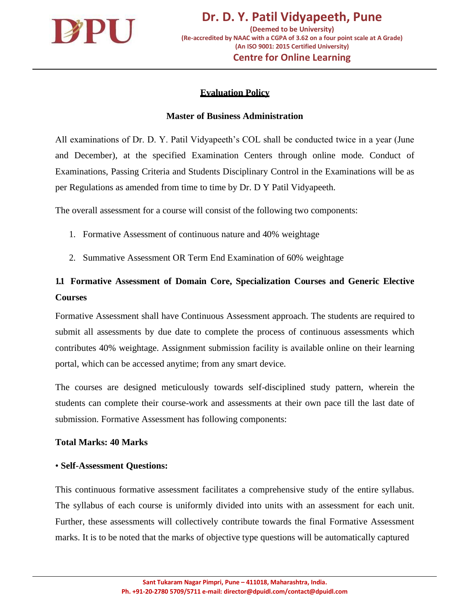

# **Evaluation Policy**

### **Master of Business Administration**

All examinations of Dr. D. Y. Patil Vidyapeeth's COL shall be conducted twice in a year (June and December), at the specified Examination Centers through online mode. Conduct of Examinations, Passing Criteria and Students Disciplinary Control in the Examinations will be as per Regulations as amended from time to time by Dr. D Y Patil Vidyapeeth.

The overall assessment for a course will consist of the following two components:

- 1. Formative Assessment of continuous nature and 40% weightage
- 2. Summative Assessment OR Term End Examination of 60% weightage

# **1.1 Formative Assessment of Domain Core, Specialization Courses and Generic Elective Courses**

Formative Assessment shall have Continuous Assessment approach. The students are required to submit all assessments by due date to complete the process of continuous assessments which contributes 40% weightage. Assignment submission facility is available online on their learning portal, which can be accessed anytime; from any smart device.

The courses are designed meticulously towards self-disciplined study pattern, wherein the students can complete their course-work and assessments at their own pace till the last date of submission. Formative Assessment has following components:

#### **Total Marks: 40 Marks**

#### • **Self-Assessment Questions:**

This continuous formative assessment facilitates a comprehensive study of the entire syllabus. The syllabus of each course is uniformly divided into units with an assessment for each unit. Further, these assessments will collectively contribute towards the final Formative Assessment marks. It is to be noted that the marks of objective type questions will be automatically captured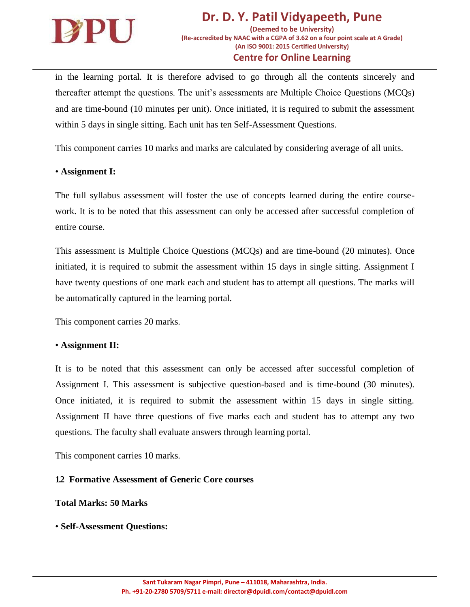

in the learning portal. It is therefore advised to go through all the contents sincerely and thereafter attempt the questions. The unit's assessments are Multiple Choice Questions (MCQs) and are time-bound (10 minutes per unit). Once initiated, it is required to submit the assessment within 5 days in single sitting. Each unit has ten Self-Assessment Questions.

This component carries 10 marks and marks are calculated by considering average of all units.

#### • **Assignment I:**

The full syllabus assessment will foster the use of concepts learned during the entire coursework. It is to be noted that this assessment can only be accessed after successful completion of entire course.

This assessment is Multiple Choice Questions (MCQs) and are time-bound (20 minutes). Once initiated, it is required to submit the assessment within 15 days in single sitting. Assignment I have twenty questions of one mark each and student has to attempt all questions. The marks will be automatically captured in the learning portal.

This component carries 20 marks.

#### • **Assignment II:**

It is to be noted that this assessment can only be accessed after successful completion of Assignment I. This assessment is subjective question-based and is time-bound (30 minutes). Once initiated, it is required to submit the assessment within 15 days in single sitting. Assignment II have three questions of five marks each and student has to attempt any two questions. The faculty shall evaluate answers through learning portal.

This component carries 10 marks.

## **1.2 Formative Assessment of Generic Core courses**

#### **Total Marks: 50 Marks**

#### • **Self-Assessment Questions:**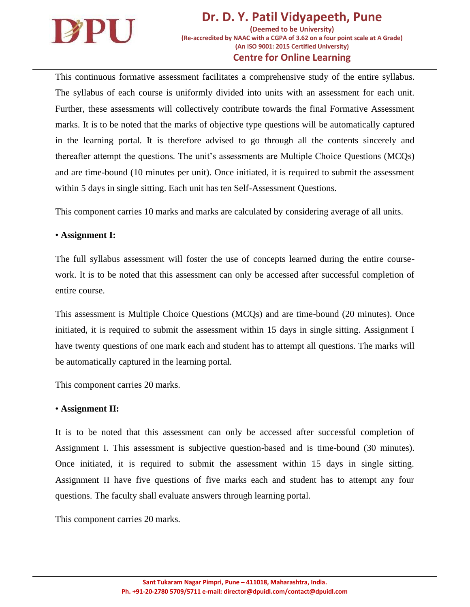

This continuous formative assessment facilitates a comprehensive study of the entire syllabus. The syllabus of each course is uniformly divided into units with an assessment for each unit. Further, these assessments will collectively contribute towards the final Formative Assessment marks. It is to be noted that the marks of objective type questions will be automatically captured in the learning portal. It is therefore advised to go through all the contents sincerely and thereafter attempt the questions. The unit's assessments are Multiple Choice Questions (MCQs) and are time-bound (10 minutes per unit). Once initiated, it is required to submit the assessment within 5 days in single sitting. Each unit has ten Self-Assessment Questions.

This component carries 10 marks and marks are calculated by considering average of all units.

#### • **Assignment I:**

The full syllabus assessment will foster the use of concepts learned during the entire coursework. It is to be noted that this assessment can only be accessed after successful completion of entire course.

This assessment is Multiple Choice Questions (MCQs) and are time-bound (20 minutes). Once initiated, it is required to submit the assessment within 15 days in single sitting. Assignment I have twenty questions of one mark each and student has to attempt all questions. The marks will be automatically captured in the learning portal.

This component carries 20 marks.

#### • **Assignment II:**

It is to be noted that this assessment can only be accessed after successful completion of Assignment I. This assessment is subjective question-based and is time-bound (30 minutes). Once initiated, it is required to submit the assessment within 15 days in single sitting. Assignment II have five questions of five marks each and student has to attempt any four questions. The faculty shall evaluate answers through learning portal.

This component carries 20 marks.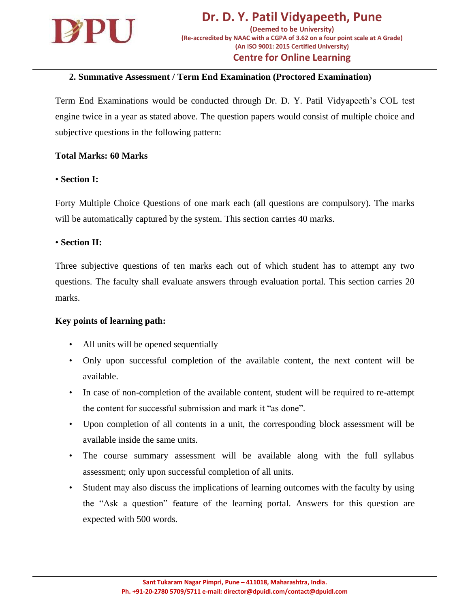

### **2. Summative Assessment / Term End Examination (Proctored Examination)**

Term End Examinations would be conducted through Dr. D. Y. Patil Vidyapeeth's COL test engine twice in a year as stated above. The question papers would consist of multiple choice and subjective questions in the following pattern: –

#### **Total Marks: 60 Marks**

### • **Section I:**

Forty Multiple Choice Questions of one mark each (all questions are compulsory). The marks will be automatically captured by the system. This section carries 40 marks.

#### • **Section II:**

Three subjective questions of ten marks each out of which student has to attempt any two questions. The faculty shall evaluate answers through evaluation portal. This section carries 20 marks.

#### **Key points of learning path:**

- All units will be opened sequentially
- Only upon successful completion of the available content, the next content will be available.
- In case of non-completion of the available content, student will be required to re-attempt the content for successful submission and mark it "as done".
- Upon completion of all contents in a unit, the corresponding block assessment will be available inside the same units.
- The course summary assessment will be available along with the full syllabus assessment; only upon successful completion of all units.
- Student may also discuss the implications of learning outcomes with the faculty by using the "Ask a question" feature of the learning portal. Answers for this question are expected with 500 words.